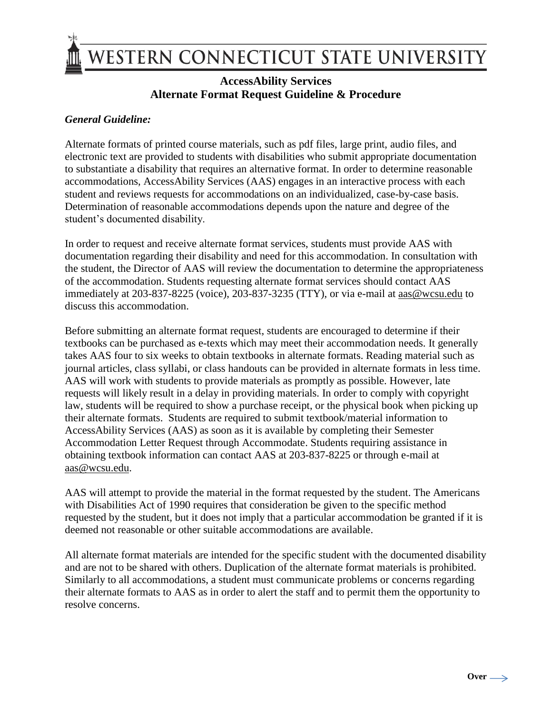

## **AccessAbility Services Alternate Format Request Guideline & Procedure**

## *General Guideline:*

Alternate formats of printed course materials, such as pdf files, large print, audio files, and electronic text are provided to students with disabilities who submit appropriate documentation to substantiate a disability that requires an alternative format. In order to determine reasonable accommodations, AccessAbility Services (AAS) engages in an interactive process with each student and reviews requests for accommodations on an individualized, case-by-case basis. Determination of reasonable accommodations depends upon the nature and degree of the student's documented disability.

In order to request and receive alternate format services, students must provide AAS with documentation regarding their disability and need for this accommodation. In consultation with the student, the Director of AAS will review the documentation to determine the appropriateness of the accommodation. Students requesting alternate format services should contact AAS immediately at 203-837-8225 (voice), 203-837-3235 (TTY), or via e-mail at [aas@wcsu.edu](mailto:aas@wcsu.edu) to discuss this accommodation.

Before submitting an alternate format request, students are encouraged to determine if their textbooks can be purchased as e-texts which may meet their accommodation needs. It generally takes AAS four to six weeks to obtain textbooks in alternate formats. Reading material such as journal articles, class syllabi, or class handouts can be provided in alternate formats in less time. AAS will work with students to provide materials as promptly as possible. However, late requests will likely result in a delay in providing materials. In order to comply with copyright law, students will be required to show a purchase receipt, or the physical book when picking up their alternate formats. Students are required to submit textbook/material information to AccessAbility Services (AAS) as soon as it is available by completing their Semester Accommodation Letter Request through Accommodate. Students requiring assistance in obtaining textbook information can contact AAS at 203-837-8225 or through e-mail at [aas@wcsu.edu.](mailto:aas@wcsu.edu)

AAS will attempt to provide the material in the format requested by the student. The Americans with Disabilities Act of 1990 requires that consideration be given to the specific method requested by the student, but it does not imply that a particular accommodation be granted if it is deemed not reasonable or other suitable accommodations are available.

All alternate format materials are intended for the specific student with the documented disability and are not to be shared with others. Duplication of the alternate format materials is prohibited. Similarly to all accommodations, a student must communicate problems or concerns regarding their alternate formats to AAS as in order to alert the staff and to permit them the opportunity to resolve concerns.